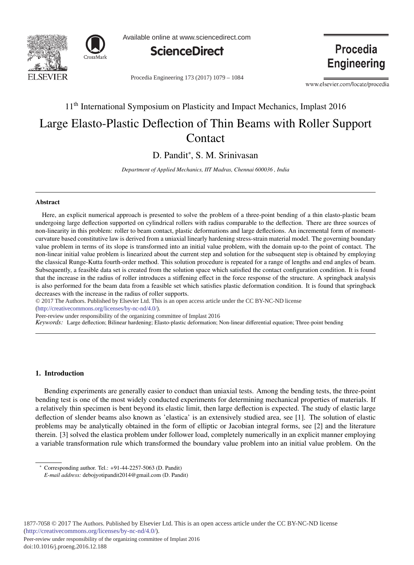



Available online at www.sciencedirect.com



Procedia Engineering 173 (2017) 1079 - 1084

**Procedia Engineering** 

www.elsevier.com/locate/procedia

# 11<sup>th</sup> International Symposium on Plasticity and Impact Mechanics, Implast 2016 Large Elasto-Plastic Deflection of Thin Beams with Roller Support **Contact**

D. Pandit\*, S. M. Srinivasan

*Department of Applied Mechanics, IIT Madras, Chennai 600036 , India*

## **Abstract**

Here, an explicit numerical approach is presented to solve the problem of a three-point bending of a thin elasto-plastic beam undergoing large deflection supported on cylindrical rollers with radius comparable to the deflection. There are three sources of non-linearity in this problem: roller to beam contact, plastic deformations and large deflections. An incremental form of momentcurvature based constitutive law is derived from a uniaxial linearly hardening stress-strain material model. The governing boundary value problem in terms of its slope is transformed into an initial value problem, with the domain up-to the point of contact. The non-linear initial value problem is linearized about the current step and solution for the subsequent step is obtained by employing the classical Runge-Kutta fourth-order method. This solution procedure is repeated for a range of lengths and end angles of beam. Subsequently, a feasible data set is created from the solution space which satisfied the contact configuration condition. It is found that the increase in the radius of roller introduces a stiffening effect in the force response of the structure. A springback analysis is also performed for the beam data from a feasible set which satisfies plastic deformation condition. It is found that springback decreases with the increase in the radius of roller supports.

© 2017 The Authors. Published by Elsevier Ltd. This is an open access article under the CC BY-NC-ND license (http://creativecommons.org/licenses/by-nc-nd/4.0/).

Peer-review under responsibility of the organizing committee of Implast 2016

*Keywords:* Large deflection; Bilinear hardening; Elasto-plastic deformation; Non-linear differential equation; Three-point bending

# 1. Introduction

Bending experiments are generally easier to conduct than uniaxial tests. Among the bending tests, the three-point bending test is one of the most widely conducted experiments for determining mechanical properties of materials. If a relatively thin specimen is bent beyond its elastic limit, then large deflection is expected. The study of elastic large deflection of slender beams also known as 'elastica' is an extensively studied area, see [1]. The solution of elastic problems may be analytically obtained in the form of elliptic or Jacobian integral forms, see [2] and the literature therein. [3] solved the elastica problem under follower load, completely numerically in an explicit manner employing a variable transformation rule which transformed the boundary value problem into an initial value problem. On the

Peer-review under responsibility of the organizing committee of Implast 2016

<sup>∗</sup> Corresponding author. Tel.: +91-44-2257-5063 (D. Pandit)

*E-mail address:* debojyotipandit2014@gmail.com (D. Pandit)

doi: 10.1016/j.proeng.2016.12.188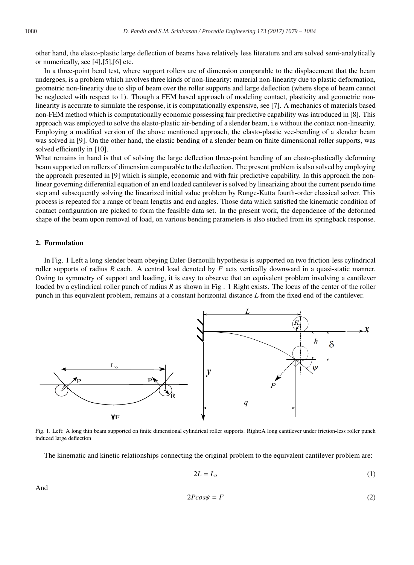other hand, the elasto-plastic large deflection of beams have relatively less literature and are solved semi-analytically or numerically, see [4],[5],[6] etc.

In a three-point bend test, where support rollers are of dimension comparable to the displacement that the beam undergoes, is a problem which involves three kinds of non-linearity: material non-linearity due to plastic deformation, geometric non-linearity due to slip of beam over the roller supports and large deflection (where slope of beam cannot be neglected with respect to 1). Though a FEM based approach of modeling contact, plasticity and geometric nonlinearity is accurate to simulate the response, it is computationally expensive, see [7]. A mechanics of materials based non-FEM method which is computationally economic possessing fair predictive capability was introduced in [8]. This approach was employed to solve the elasto-plastic air-bending of a slender beam, i.e without the contact non-linearity. Employing a modified version of the above mentioned approach, the elasto-plastic vee-bending of a slender beam was solved in [9]. On the other hand, the elastic bending of a slender beam on finite dimensional roller supports, was solved efficiently in [10].

What remains in hand is that of solving the large deflection three-point bending of an elasto-plastically deforming beam supported on rollers of dimension comparable to the deflection. The present problem is also solved by employing the approach presented in [9] which is simple, economic and with fair predictive capability. In this approach the nonlinear governing differential equation of an end loaded cantilever is solved by linearizing about the current pseudo time step and subsequently solving the linearized initial value problem by Runge-Kutta fourth-order classical solver. This process is repeated for a range of beam lengths and end angles. Those data which satisfied the kinematic condition of contact configuration are picked to form the feasible data set. In the present work, the dependence of the deformed shape of the beam upon removal of load, on various bending parameters is also studied from its springback response.

### 2. Formulation

In Fig. 1 Left a long slender beam obeying Euler-Bernoulli hypothesis is supported on two friction-less cylindrical roller supports of radius *R* each. A central load denoted by *F* acts vertically downward in a quasi-static manner. Owing to symmetry of support and loading, it is easy to observe that an equivalent problem involving a cantilever loaded by a cylindrical roller punch of radius *R* as shown in Fig. 1 Right exists. The locus of the center of the roller punch in this equivalent problem, remains at a constant horizontal distance *L* from the fixed end of the cantilever.



Fig. 1. Left: A long thin beam supported on finite dimensional cylindrical roller supports. Right:A long cantilever under friction-less roller punch induced large deflection

The kinematic and kinetic relationships connecting the original problem to the equivalent cantilever problem are:

$$
2L = L_o \tag{1}
$$

And

$$
2P\cos\psi = F \tag{2}
$$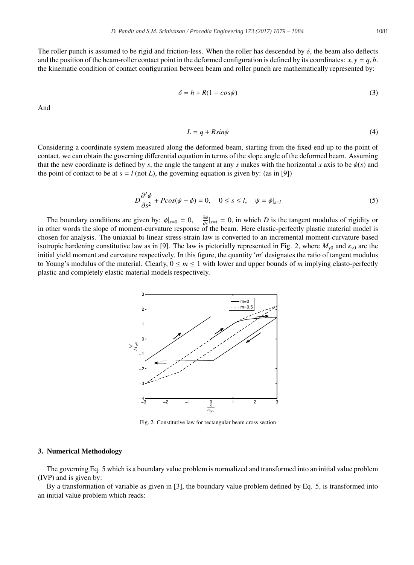The roller punch is assumed to be rigid and friction-less. When the roller has descended by  $\delta$ , the beam also deflects and the position of the beam-roller contact point in the deformed configuration is defined by its coordinates:  $x, y = q, h$ . the kinematic condition of contact configuration between beam and roller punch are mathematically represented by:

$$
\delta = h + R(1 - \cos\psi) \tag{3}
$$

And

$$
L = q + R \sin\psi \tag{4}
$$

Considering a coordinate system measured along the deformed beam, starting from the fixed end up to the point of contact, we can obtain the governing differential equation in terms of the slope angle of the deformed beam. Assuming that the new coordinate is defined by *s*, the angle the tangent at any *s* makes with the horizontal *x* axis to be  $\phi(s)$  and the point of contact to be at  $s = l$  (not *L*), the governing equation is given by: (as in [9])

$$
D\frac{\partial^2 \phi}{\partial s^2} + P\cos(\psi - \phi) = 0, \quad 0 \le s \le l, \quad \psi = \phi|_{s=l}
$$
 (5)

The boundary conditions are given by:  $\phi|_{s=0} = 0$ ,  $\frac{\partial \phi}{\partial s}|_{s=l} = 0$ , in which *D* is the tangent modulus of rigidity or in other words the slope of moment-curvature response of the beam. Here elastic-perfectly plastic material model is chosen for analysis. The uniaxial bi-linear stress-strain law is converted to an incremental moment-curvature based isotropic hardening constitutive law as in [9]. The law is pictorially represented in Fig. 2, where  $M_{y0}$  and  $\kappa_{y0}$  are the initial yield moment and curvature respectively. In this figure, the quantity *m* designates the ratio of tangent modulus to Young's modulus of the material. Clearly,  $0 \le m \le 1$  with lower and upper bounds of *m* implying elasto-perfectly plastic and completely elastic material models respectively.



Fig. 2. Constitutive law for rectangular beam cross section

## 3. Numerical Methodology

The governing Eq. 5 which is a boundary value problem is normalized and transformed into an initial value problem (IVP) and is given by:

By a transformation of variable as given in [3], the boundary value problem defined by Eq. 5, is transformed into an initial value problem which reads: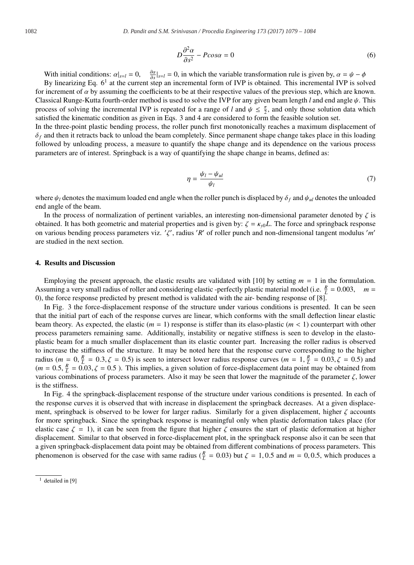$$
D\frac{\partial^2 \alpha}{\partial s^2} - P\cos\alpha = 0\tag{6}
$$

With initial conditions:  $\alpha|_{s=l} = 0$ ,  $\frac{\partial \alpha}{\partial s}|_{s=l} = 0$ , in which the variable transformation rule is given by,  $\alpha = \psi - \phi$ 

By linearizing Eq.  $6^1$  at the current step an incremental form of IVP is obtained. This incremental IVP is solved for increment of  $\alpha$  by assuming the coefficients to be at their respective values of the previous step, which are known. Classical Runge-Kutta fourth-order method is used to solve the IVP for any given beam length *l* and end angle  $\psi$ . This process of solving the incremental IVP is repeated for a range of *l* and  $\psi \leq \frac{\pi}{2}$ , and only those solution data which satisfied the kinematic condition as given in Eqs. 3 and 4 are considered to form the feasible solution set.

In the three-point plastic bending process, the roller punch first monotonically reaches a maximum displacement of  $\delta_f$  and then it retracts back to unload the beam completely. Since permanent shape change takes place in this loading followed by unloading process, a measure to quantify the shape change and its dependence on the various process parameters are of interest. Springback is a way of quantifying the shape change in beams, defined as:

$$
\eta = \frac{\psi_l - \psi_{ul}}{\psi_l} \tag{7}
$$

where  $\psi_l$  denotes the maximum loaded end angle when the roller punch is displaced by  $\delta_f$  and  $\psi_{ul}$  denotes the unloaded end angle of the beam.

In the process of normalization of pertinent variables, an interesting non-dimensional parameter denoted by  $\zeta$  is obtained. It has both geometric and material properties and is given by:  $\zeta = \kappa_v bL$ . The force and springback response on various bending process parameters viz.  $'$ , radius 'R' of roller punch and non-dimensional tangent modulus 'm' are studied in the next section.

### 4. Results and Discussion

Employing the present approach, the elastic results are validated with [10] by setting *m* = 1 in the formulation. Assuming a very small radius of roller and considering elastic -perfectly plastic material model (i.e.  $\frac{R}{L} = 0.003$ ,  $m =$ 0), the force response predicted by present method is validated with the air- bending response of [8].

In Fig. 3 the force-displacement response of the structure under various conditions is presented. It can be seen that the initial part of each of the response curves are linear, which conforms with the small deflection linear elastic beam theory. As expected, the elastic  $(m = 1)$  response is stiffer than its elaso-plastic  $(m < 1)$  counterpart with other process parameters remaining same. Additionally, instability or negative stiffness is seen to develop in the elastoplastic beam for a much smaller displacement than its elastic counter part. Increasing the roller radius is observed to increase the stiffness of the structure. It may be noted here that the response curve corresponding to the higher radius ( $m = 0$ ,  $\frac{R}{L} = 0.3$ ,  $\zeta = 0.5$ ) is seen to intersect lower radius response curves ( $m = 1$ ,  $\frac{R}{L} = 0.03$ ,  $\zeta = 0.5$ ) and  $(m = 0.5, \frac{R}{L} = 0.03, \zeta = 0.5)$ . This implies, a given solution of force-displacement data point may be obtained from various combinations of process parameters. Also it may be seen that lower the magnitude of the parameter  $\zeta$ , lower is the stiffness.

In Fig. 4 the springback-displacement response of the structure under various conditions is presented. In each of the response curves it is observed that with increase in displacement the springback decreases. At a given displacement, springback is observed to be lower for larger radius. Similarly for a given displacement, higher  $\zeta$  accounts for more springback. Since the springback response is meaningful only when plastic deformation takes place (for elastic case  $\zeta = 1$ ), it can be seen from the figure that higher  $\zeta$  ensures the start of plastic deformation at higher displacement. Similar to that observed in force-displacement plot, in the springback response also it can be seen that a given springback-displacement data point may be obtained from different combinations of process parameters. This phenomenon is observed for the case with same radius ( $\frac{R}{L}$  = 0.03) but  $\zeta$  = 1, 0.5 and  $m$  = 0, 0.5, which produces a

 $1$  detailed in [9]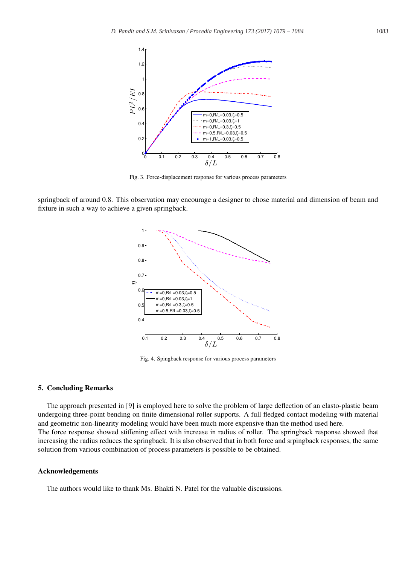

Fig. 3. Force-displacement response for various process parameters

springback of around 0.8. This observation may encourage a designer to chose material and dimension of beam and fixture in such a way to achieve a given springback.



Fig. 4. Spingback response for various process parameters

# 5. Concluding Remarks

The approach presented in [9] is employed here to solve the problem of large deflection of an elasto-plastic beam undergoing three-point bending on finite dimensional roller supports. A full fledged contact modeling with material and geometric non-linearity modeling would have been much more expensive than the method used here. The force response showed stiffening effect with increase in radius of roller. The springback response showed that

increasing the radius reduces the springback. It is also observed that in both force and srpingback responses, the same solution from various combination of process parameters is possible to be obtained.

# Acknowledgements

The authors would like to thank Ms. Bhakti N. Patel for the valuable discussions.